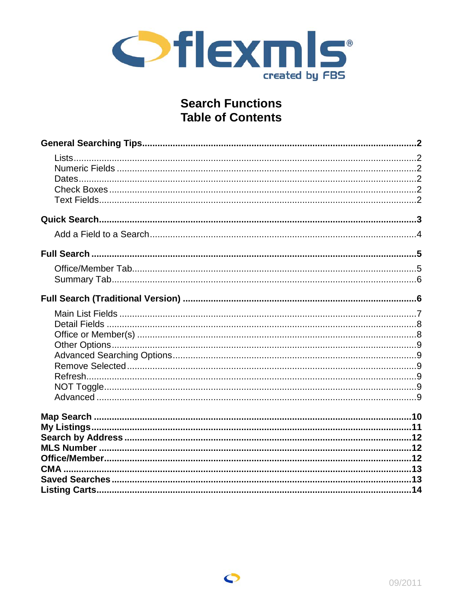

# **Search Functions Table of Contents**

 $\bullet$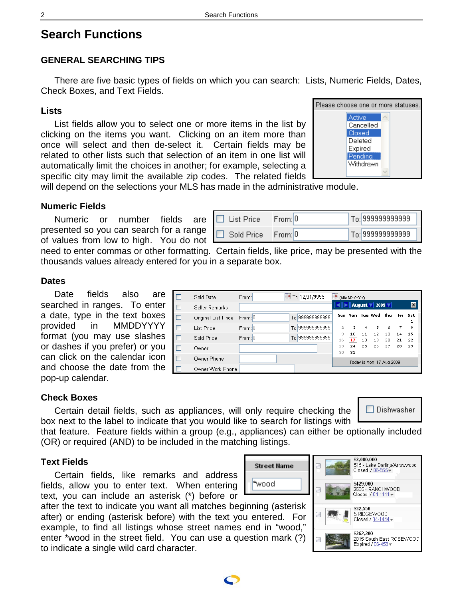# **Search Functions**

# **GENERAL SEARCHING TIPS**

There are five basic types of fields on which you can search: Lists, Numeric Fields, Dates, Check Boxes, and Text Fields.

### **Lists**

List fields allow you to select one or more items in the list by clicking on the items you want. Clicking on an item more than once will select and then de-select it. Certain fields may be related to other lists such that selection of an item in one list will automatically limit the choices in another; for example, selecting a specific city may limit the available zip codes. The related fields



will depend on the selections your MLS has made in the administrative module.

### **Numeric Fields**

Numeric or number fields are presented so you can search for a range of values from low to high. You do not

| List Price. | From: U | To: 999999999999 |
|-------------|---------|------------------|
| Sold Price  | From: 0 | To:1999999999999 |

need to enter commas or other formatting. Certain fields, like price, may be presented with the thousands values already entered for you in a separate box.

### **Dates**

Date fields also are searched in ranges. To enter a date, type in the text boxes provided in MMDDYYYY format (you may use slashes or dashes if you prefer) or you can click on the calendar icon and choose the date from the pop-up calendar.

|   | Sold Date           | From:   | $E$ Ta: 12/31/9999 | MMDDYYYY |          |          |                               |          |          |                 |
|---|---------------------|---------|--------------------|----------|----------|----------|-------------------------------|----------|----------|-----------------|
|   | Seller Remarks      |         |                    |          |          |          | <b>August 1</b> 2009 <b>1</b> |          |          | $\vert x \vert$ |
| п | Original List Price | From: 0 | To: 999999999999   | Sun.     |          |          | Mon Tue Wed Thu               |          | Fri      | Sat             |
| ٠ | List Price          | From: 0 | To: 999999999999   |          | 3.       | 4        | 5.                            | 6        | 7        | 8               |
| П | Sold Price          | From: 0 | To: 999999999999   | 9<br>16  | 10<br>17 | 11<br>18 | 12<br>19                      | 13<br>20 | 14<br>21 | 15<br>22        |
|   | Owner               |         |                    | 23<br>30 | 24<br>31 | 25       | 26                            | 27       | 28       | 29              |
|   | Owner Phone         |         |                    |          |          |          | Today is Mon, 17 Aug 2009     |          |          |                 |
|   | Owner Work Phone    |         |                    |          |          |          |                               |          |          |                 |

# **Check Boxes**

Certain detail fields, such as appliances, will only require checking the box next to the label to indicate that you would like to search for listings with  $\Box$  Dishwasher

that feature. Feature fields within a group (e.g., appliances) can either be optionally included (OR) or required (AND) to be included in the matching listings.

\*wood

# **Text Fields**

Certain fields, like remarks and address fields, allow you to enter text. When entering text, you can include an asterisk (\*) before or

after the text to indicate you want all matches beginning (asterisk after) or ending (asterisk before) with the text you entered. For example, to find all listings whose street names end in "wood," enter \*wood in the street field. You can use a question mark (?) to indicate a single wild card character.



\$3.000.000

<span id="page-1-0"></span>

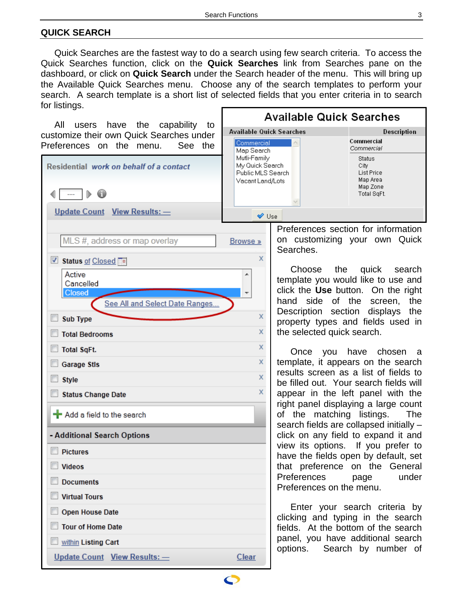# <span id="page-2-0"></span>**QUICK SEARCH**

Quick Searches are the fastest way to do a search using few search criteria. To access the Quick Searches function, click on the **Quick Searches** link from Searches pane on the dashboard, or click on **Quick Search** under the Search header of the menu. This will bring up the Available Quick Searches menu. Choose any of the search templates to perform your search. A search template is a short list of selected fields that you enter criteria in to search for listings.

**Available Quick Searches** All users have the capability to **Available Quick Searches** Description customize their own Quick Searches under Preferences on the menu. See the Residential work on behalf of a contact ∢ ⋔ Update Count View Results: -❤ Use Preferences section for information on customizing your own Quick MLS #, address or map overlay Browse » Searches.  $\bar{x}$ Status of Closed Active A Cancelled **Closed** See All and Select Date Ranges.  $\bar{x}$  $\Box$  Sub Type X the selected quick search. Total Bedrooms X Total SqFt. X. Garage Stls X  $\Box$  Style  $\mathbf x$ Status Change Date **+** Add a field to the search - Additional Search Options  $\Box$  Pictures **Videos** Documents Preferences on the menu. Virtual Tours Open House Date Tour of Home Date within Listing Cart

Update Count View Results: -

| Commercial<br>Map Search                                                 | Commercial<br>Commercial                                            |
|--------------------------------------------------------------------------|---------------------------------------------------------------------|
| Mutli-Family<br>My Quick Search<br>Public MLS Search<br>Vacant Land/Lots | Status<br>City<br>List Price<br>Map Area<br>Map Zone<br>Total SqFt. |
| $11 - 1$                                                                 |                                                                     |

Choose the quick search

template you would like to use and click the **Use** button. On the right hand side of the screen, the Description section displays the property types and fields used in

Once you have chosen a template, it appears on the search results screen as a list of fields to be filled out. Your search fields will appear in the left panel with the right panel displaying a large count of the matching listings. The search fields are collapsed initially – click on any field to expand it and view its options. If you prefer to have the fields open by default, set that preference on the General Preferences page under

Enter your search criteria by clicking and typing in the search fields. At the bottom of the search panel, you have additional search options. Search by number of

**Clear**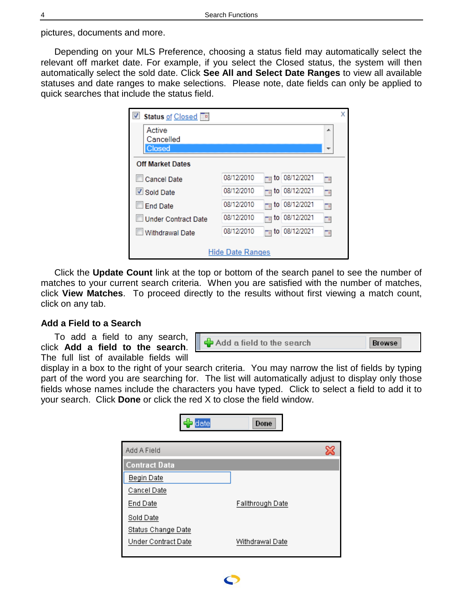<span id="page-3-0"></span>pictures, documents and more.

Depending on your MLS Preference, choosing a status field may automatically select the relevant off market date. For example, if you select the Closed status, the system will then automatically select the sold date. Click **See All and Select Date Ranges** to view all available statuses and date ranges to make selections. Please note, date fields can only be applied to quick searches that include the status field.

| ✔<br>Status of Closed      |                         |                 |               |                             | x |
|----------------------------|-------------------------|-----------------|---------------|-----------------------------|---|
| Active                     |                         |                 |               | ┻                           |   |
| Cancelled<br>Closed        |                         |                 |               |                             |   |
| <b>Off Market Dates</b>    |                         |                 |               |                             |   |
| Cancel Date                | 08/12/2010              | <sub>™</sub> to | 08/12/2021    | $\Box$                      |   |
| Sold Date                  | 08/12/2010              |                 | to 08/12/2021 | To                          |   |
| <b>End Date</b>            | 08/12/2010              |                 | to 08/12/2021 | Tυ                          |   |
| <b>Under Contract Date</b> | 08/12/2010              | to              | 08/12/2021    | To                          |   |
| Withdrawal Date            | 08/12/2010              |                 | to 08/12/2021 | $\mathbb{F}_{\mathfrak{g}}$ |   |
|                            | <b>Hide Date Ranges</b> |                 |               |                             |   |

Click the **Update Count** link at the top or bottom of the search panel to see the number of matches to your current search criteria. When you are satisfied with the number of matches, click **View Matches**. To proceed directly to the results without first viewing a match count, click on any tab.

# **Add a Field to a Search**

To add a field to any search, click **Add a field to the search**. The full list of available fields will

Add a field to the search **Browse** 

display in a box to the right of your search criteria. You may narrow the list of fields by typing part of the word you are searching for. The list will automatically adjust to display only those fields whose names include the characters you have typed. Click to select a field to add it to your search. Click **Done** or click the red X to close the field window.

| date                 | Done             |
|----------------------|------------------|
| Add A Field          | ×                |
| <b>Contract Data</b> |                  |
| <b>Begin Date</b>    |                  |
| Cancel Date          |                  |
| End Date             | Fallthrough Date |
| Sold Date            |                  |
| Status Change Date   |                  |
| Under Contract Date  | Withdrawal Date  |
|                      |                  |

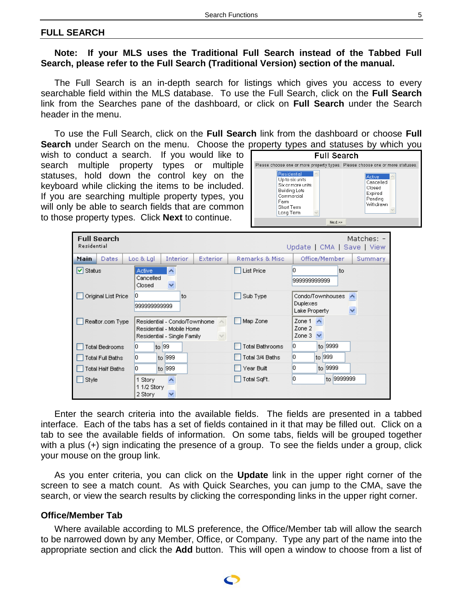#### <span id="page-4-0"></span>**FULL SEARCH**

#### **Note: If your MLS uses the Traditional Full Search instead of the Tabbed Full Search, please refer to the Full Search (Traditional Version) section of the manual.**

The Full Search is an in-depth search for listings which gives you access to every searchable field within the MLS database. To use the Full Search, click on the **Full Search** link from the Searches pane of the dashboard, or click on **Full Search** under the Search header in the menu.

To use the Full Search, click on the **Full Search** link from the dashboard or choose **Full Search** under Search on the menu. Choose the property types and statuses by which you

wish to conduct a search. If you would like to search multiple property types or multiple statuses, hold down the control key on the keyboard while clicking the items to be included. If you are searching multiple property types, you will only be able to search fields that are common to those property types. Click **Next** to continue.

| <b>Full Search</b>                                                                                                           |                                                                  |
|------------------------------------------------------------------------------------------------------------------------------|------------------------------------------------------------------|
| Please choose one or more property types. Please choose one or more statuses.                                                |                                                                  |
| Residential<br>Up to six units<br>Six or more units<br><b>Building Lots</b><br>Commercial<br>Farm<br>Short Term<br>Long Term | Active<br>Cancelled<br>Closed<br>Expired<br>Pending<br>Withdrawn |
| Next                                                                                                                         |                                                                  |

| <b>Full Search</b><br>Residential |                                                                                                    |                 | Matches: -<br>Update   CMA   Save   View                                      |
|-----------------------------------|----------------------------------------------------------------------------------------------------|-----------------|-------------------------------------------------------------------------------|
| Main<br><b>Dates</b>              | Loc & Lgl.<br><b>Interior</b><br>Exterior.                                                         | Remarks & Misc  | Office/Member<br>Summary                                                      |
| l✔ Status                         | $\hat{\phantom{a}}$<br><b>Active</b><br>Cancelled<br>Closed                                        | List Price      | ۱o<br>to<br>999999999999                                                      |
| Original List Price               | 0<br>to<br>999999999999                                                                            | Sub Type        | Condo/Townhouses<br>$\blacktriangle$<br><b>Duplexes</b><br>Lake Property<br>× |
| Realtor.com Type                  | Residential - Condo/Townhome<br>Residential - Mobile Home<br>$\lor$<br>Residential - Single Family | Map Zone        | Zone 1<br>∧<br>Zone 2<br>Zone 3<br>$\checkmark$                               |
| Total Bedrooms                    | to 99<br>0                                                                                         | Total Bathrooms | l0.<br>to 9999                                                                |
| Total Full Baths                  | to 999<br>0                                                                                        | Total 3/4 Baths | l0<br>to 999                                                                  |
| Total Half Baths                  | 0<br>to 999                                                                                        | Year Built      | l0.<br>to 9999                                                                |
| Style                             | 1 Story<br>11/2 Story<br>2 Story                                                                   | Total SqFt.     | l0<br>to 9999999                                                              |

Enter the search criteria into the available fields. The fields are presented in a tabbed interface. Each of the tabs has a set of fields contained in it that may be filled out. Click on a tab to see the available fields of information. On some tabs, fields will be grouped together with a plus (+) sign indicating the presence of a group. To see the fields under a group, click your mouse on the group link.

As you enter criteria, you can click on the **Update** link in the upper right corner of the screen to see a match count. As with Quick Searches, you can jump to the CMA, save the search, or view the search results by clicking the corresponding links in the upper right corner.

#### **Office/Member Tab**

Where available according to MLS preference, the Office/Member tab will allow the search to be narrowed down by any Member, Office, or Company. Type any part of the name into the appropriate section and click the **Add** button. This will open a window to choose from a list of

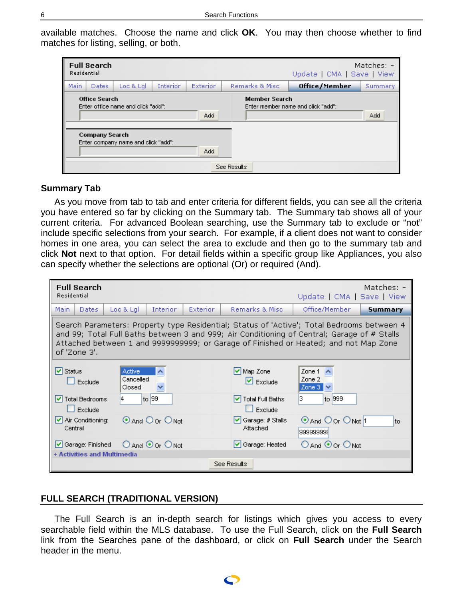<span id="page-5-0"></span>available matches. Choose the name and click **OK**. You may then choose whether to find matches for listing, selling, or both.

| Residential | <b>Full Search</b>                            |                                                                           |                 |            |                      | Update   CMA   Save   View         | Matches: $-$ |
|-------------|-----------------------------------------------|---------------------------------------------------------------------------|-----------------|------------|----------------------|------------------------------------|--------------|
| Main.       | <b>Dates</b>                                  | Loc & Lal                                                                 | <b>Interior</b> | Exterior   | Remarks & Misc       | Office/Member                      | Summary      |
|             | <b>Office Search</b><br><b>Company Search</b> | Enter office name and click "add":<br>Enter company name and click "add": |                 | Add<br>Add | <b>Member Search</b> | Enter member name and click "add": | Add          |
|             |                                               |                                                                           |                 |            | See Results          |                                    |              |

#### **Summary Tab**

As you move from tab to tab and enter criteria for different fields, you can see all the criteria you have entered so far by clicking on the Summary tab. The Summary tab shows all of your current criteria. For advanced Boolean searching, use the Summary tab to exclude or "not" include specific selections from your search. For example, if a client does not want to consider homes in one area, you can select the area to exclude and then go to the summary tab and click **Not** next to that option. For detail fields within a specific group like Appliances, you also can specify whether the selections are optional (Or) or required (And).

| <b>Full Search</b><br>Residential     |                                      |                         |          |                                                                                                                                                                                                                                                                                   | Update   CMA   Save   View             | Matches: - |
|---------------------------------------|--------------------------------------|-------------------------|----------|-----------------------------------------------------------------------------------------------------------------------------------------------------------------------------------------------------------------------------------------------------------------------------------|----------------------------------------|------------|
| Main<br>Dates                         | Loc & Lgl                            | <b>Interior</b>         | Exterior | Remarks & Misc                                                                                                                                                                                                                                                                    | Office/Member                          | Summary    |
| of 'Zone 3'.                          |                                      |                         |          | Search Parameters: Property type Residential; Status of 'Active'; Total Bedrooms between 4<br>and 99; Total Full Baths between 3 and 999; Air Conditioning of Central; Garage of # Stalls<br>Attached between 1 and 9999999999; or Garage of Finished or Heated; and not Map Zone |                                        |            |
| l <b>✓</b> l Status<br>Exclude        | <b>Active</b><br>Cancelled<br>Closed | ∧<br>v                  |          | $\triangledown$ Map Zone<br>$\triangleright$ Exclude                                                                                                                                                                                                                              | Zone 1<br>∧<br>Zone 2<br>Zone 3<br>౹⊽  |            |
| <b>Total Bedrooms</b><br>M<br>Exclude | 4                                    | to 99                   |          | V Total Full Baths<br>$\Box$ Exclude                                                                                                                                                                                                                                              | ß.<br>to 999                           |            |
| Air Conditioning:<br>Central          |                                      | <b>O</b> And O Or O Not |          | $\blacktriangleright$ Garage: # Stalls<br>Attached                                                                                                                                                                                                                                | <b>O</b> And O or O Not 1<br>999999999 | to         |
| Garage: Finished                      |                                      | ○ And ⊙ Or ○ Not        |          | Garage: Heated                                                                                                                                                                                                                                                                    | ○ And ⊙ Or ○ Not                       |            |
| + Activities and Multimedia           |                                      |                         |          | See Results                                                                                                                                                                                                                                                                       |                                        |            |

# **FULL SEARCH (TRADITIONAL VERSION)**

The Full Search is an in-depth search for listings which gives you access to every searchable field within the MLS database. To use the Full Search, click on the **Full Search** link from the Searches pane of the dashboard, or click on **Full Search** under the Search header in the menu.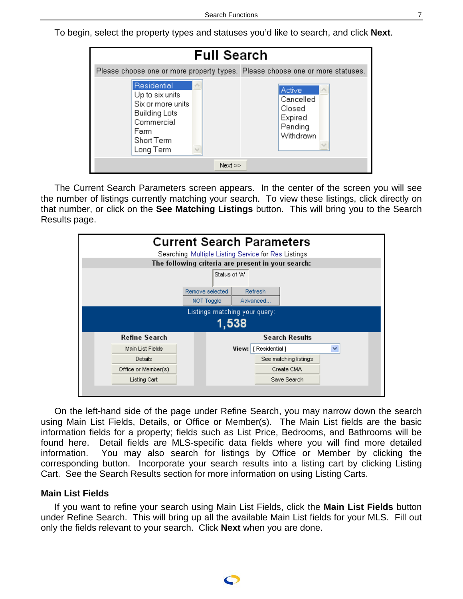<span id="page-6-0"></span>To begin, select the property types and statuses you'd like to search, and click **Next**.

| <b>Full Search</b>                                                                                                           |                                                                   |
|------------------------------------------------------------------------------------------------------------------------------|-------------------------------------------------------------------|
| Please choose one or more property types. Please choose one or more statuses.                                                |                                                                   |
| Residential<br>Up to six units<br>Six or more units<br><b>Building Lots</b><br>Commercial<br>Farm<br>Short Term<br>Long Term | Active.<br>Cancelled<br>Closed<br>Expired<br>Pending<br>Withdrawn |
| Next                                                                                                                         |                                                                   |

The Current Search Parameters screen appears. In the center of the screen you will see the number of listings currently matching your search. To view these listings, click directly on that number, or click on the **See Matching Listings** button. This will bring you to the Search Results page.



On the left-hand side of the page under Refine Search, you may narrow down the search using Main List Fields, Details, or Office or Member(s). The Main List fields are the basic information fields for a property; fields such as List Price, Bedrooms, and Bathrooms will be found here. Detail fields are MLS-specific data fields where you will find more detailed information. You may also search for listings by Office or Member by clicking the corresponding button. Incorporate your search results into a listing cart by clicking Listing Cart. See the Search Results section for more information on using Listing Carts.

#### **Main List Fields**

If you want to refine your search using Main List Fields, click the **Main List Fields** button under Refine Search. This will bring up all the available Main List fields for your MLS. Fill out only the fields relevant to your search. Click **Next** when you are done.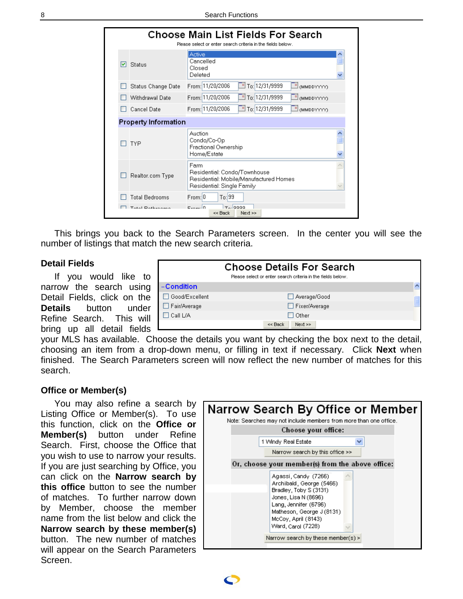<span id="page-7-0"></span>

|   |                             | <b>Choose Main List Fields For Search</b><br>Please select or enter search criteria in the fields below.     |   |
|---|-----------------------------|--------------------------------------------------------------------------------------------------------------|---|
| M | Status                      | Active<br>Cancelled<br>Closed<br>Deleted                                                                     | ۸ |
|   | <b>Status Change Date</b>   | To: 12/31/9999<br>From: 11/20/2006<br>MMDDYYYY)                                                              |   |
|   | Withdrawal Date             | TH To: 12/31/9999<br>From: 11/20/2006<br>$\mathbb{E}$ (MMDDYYYY)                                             |   |
|   | <b>Cancel Date</b>          | To: 12/31/9999<br>From: 11/20/2006<br>(MMDDYYYYY)                                                            |   |
|   | <b>Property Information</b> |                                                                                                              |   |
|   | <b>TYP</b>                  | Auction<br>Condo/Co-Op<br>Fractional Ownership<br>Home/Estate                                                |   |
|   | Realtor.com Type            | Farm<br>Residential: Condo/Townhouse<br>Residential: Mobile/Manufactured Homes<br>Residential: Single Family |   |
|   | <b>Total Bedrooms</b>       | To: 99<br>From: 0                                                                                            |   |
|   | Tatal Dathrooms             | $T_{\alpha}$ , agaa<br>$E_{\text{max}} 0$<br>Next<br><< Back                                                 |   |

This brings you back to the Search Parameters screen. In the center you will see the number of listings that match the new search criteria.

#### **Detail Fields**

If you would like to narrow the search using Detail Fields, click on the **Details** button under Refine Search. This will bring up all detail fields

| <b>Choose Details For Search</b><br>Please select or enter search criteria in the fields below. |                 |  |  |  |
|-------------------------------------------------------------------------------------------------|-----------------|--|--|--|
| -Condition                                                                                      |                 |  |  |  |
| Good/Excellent                                                                                  | Average/Good    |  |  |  |
| Fair/Average                                                                                    | □ Fixer/Average |  |  |  |
| $\Box$ Call L/A                                                                                 | $\Box$ Other    |  |  |  |
|                                                                                                 | Next<br><< Back |  |  |  |

your MLS has available. Choose the details you want by checking the box next to the detail, choosing an item from a drop-down menu, or filling in text if necessary. Click **Next** when finished. The Search Parameters screen will now reflect the new number of matches for this search.

#### **Office or Member(s)**

You may also refine a search by Listing Office or Member(s). To use this function, click on the **Office or Member(s)** button under Refine Search. First, choose the Office that you wish to use to narrow your results. If you are just searching by Office, you can click on the **Narrow search by this office** button to see the number of matches. To further narrow down by Member, choose the member name from the list below and click the **Narrow search by these member(s)** button. The new number of matches will appear on the Search Parameters Screen.

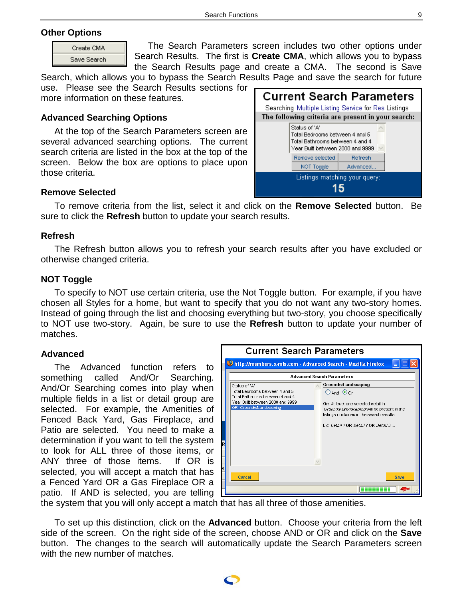# <span id="page-8-0"></span>**Other Options**

| Create CMA  |  |
|-------------|--|
| Save Search |  |

The Search Parameters screen includes two other options under Search Results. The first is **Create CMA**, which allows you to bypass the Search Results page and create a CMA. The second is Save

Search, which allows you to bypass the Search Results Page and save the search for future use. Please see the Search Results sections for more information on these features.

# **Advanced Searching Options**

At the top of the Search Parameters screen are several advanced searching options. The current search criteria are listed in the box at the top of the screen. Below the box are options to place upon those criteria.

| <b>Current Search Parameters</b><br>Searching Multiple Listing Service for Res Listings |                                                                                                                        |          |  |  |
|-----------------------------------------------------------------------------------------|------------------------------------------------------------------------------------------------------------------------|----------|--|--|
| The following criteria are present in your search:                                      |                                                                                                                        |          |  |  |
|                                                                                         | Status of 'A'<br>Total Bedrooms between 4 and 5<br>Total Bathrooms between 4 and 4<br>Year Built between 2000 and 9999 |          |  |  |
|                                                                                         | Remove selected                                                                                                        | Refresh  |  |  |
|                                                                                         | NOT Toggle                                                                                                             | Advanced |  |  |
| Listings matching your query:                                                           |                                                                                                                        |          |  |  |

# **Remove Selected**

To remove criteria from the list, select it and click on the **Remove Selected** button. Be sure to click the **Refresh** button to update your search results.

### **Refresh**

The Refresh button allows you to refresh your search results after you have excluded or otherwise changed criteria.

# **NOT Toggle**

To specify to NOT use certain criteria, use the Not Toggle button. For example, if you have chosen all Styles for a home, but want to specify that you do not want any two-story homes. Instead of going through the list and choosing everything but two-story, you choose specifically to NOT use two-story. Again, be sure to use the **Refresh** button to update your number of matches.

#### **Advanced**

The Advanced function refers to something called And/Or Searching. And/Or Searching comes into play when multiple fields in a list or detail group are selected. For example, the Amenities of Fenced Back Yard, Gas Fireplace, and Patio are selected. You need to make a determination if you want to tell the system to look for ALL three of those items, or ANY three of those items. If OR is selected, you will accept a match that has a Fenced Yard OR a Gas Fireplace OR a patio. If AND is selected, you are telling



the system that you will only accept a match that has all three of those amenities.

To set up this distinction, click on the **Advanced** button. Choose your criteria from the left side of the screen. On the right side of the screen, choose AND or OR and click on the **Save** button. The changes to the search will automatically update the Search Parameters screen with the new number of matches.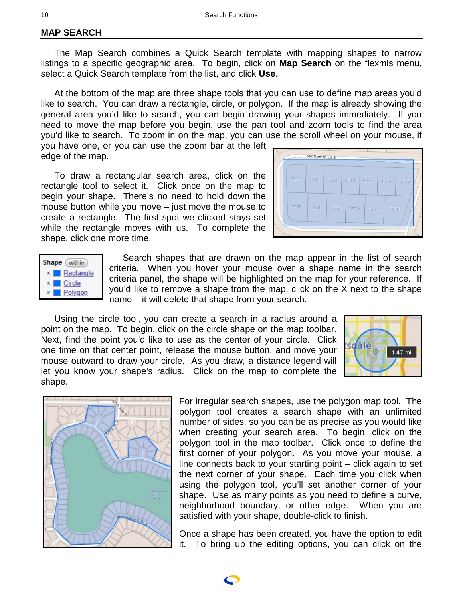# <span id="page-9-0"></span>**MAP SEARCH**

The Map Search combines a Quick Search template with mapping shapes to narrow listings to a specific geographic area. To begin, click on **Map Search** on the flexmls menu, select a Quick Search template from the list, and click **Use**.

At the bottom of the map are three shape tools that you can use to define map areas you'd like to search. You can draw a rectangle, circle, or polygon. If the map is already showing the general area you'd like to search, you can begin drawing your shapes immediately. If you need to move the map before you begin, use the pan tool and zoom tools to find the area you'd like to search. To zoom in on the map, you can use the scroll wheel on your mouse, if you have one, or you can use the zoom bar at the left

edge of the map.

To draw a rectangular search area, click on the rectangle tool to select it. Click once on the map to begin your shape. There's no need to hold down the mouse button while you move – just move the mouse to create a rectangle. The first spot we clicked stays set while the rectangle moves with us. To complete the shape, click one more time.





Search shapes that are drawn on the map appear in the list of search criteria. When you hover your mouse over a shape name in the search criteria panel, the shape will be highlighted on the map for your reference. If you'd like to remove a shape from the map, click on the X next to the shape name – it will delete that shape from your search.

Using the circle tool, you can create a search in a radius around a point on the map. To begin, click on the circle shape on the map toolbar. Next, find the point you'd like to use as the center of your circle. Click one time on that center point, release the mouse button, and move your mouse outward to draw your circle. As you draw, a distance legend will let you know your shape's radius. Click on the map to complete the shape.





For irregular search shapes, use the polygon map tool. The polygon tool creates a search shape with an unlimited number of sides, so you can be as precise as you would like when creating your search area. To begin, click on the polygon tool in the map toolbar. Click once to define the first corner of your polygon. As you move your mouse, a line connects back to your starting point – click again to set the next corner of your shape. Each time you click when using the polygon tool, you'll set another corner of your shape. Use as many points as you need to define a curve, neighborhood boundary, or other edge. When you are satisfied with your shape, double-click to finish.

Once a shape has been created, you have the option to edit it. To bring up the editing options, you can click on the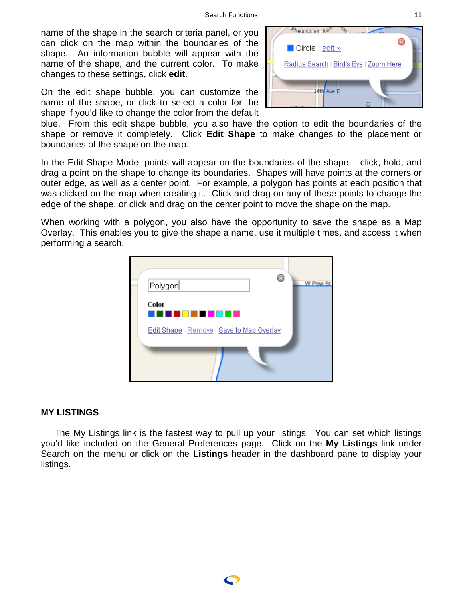<span id="page-10-0"></span>name of the shape in the search criteria panel, or you can click on the map within the boundaries of the shape. An information bubble will appear with the name of the shape, and the current color. To make changes to these settings, click **edit**.

On the edit shape bubble, you can customize the name of the shape, or click to select a color for the shape if you'd like to change the color from the default



blue. From this edit shape bubble, you also have the option to edit the boundaries of the shape or remove it completely. Click **Edit Shape** to make changes to the placement or boundaries of the shape on the map.

In the Edit Shape Mode, points will appear on the boundaries of the shape – click, hold, and drag a point on the shape to change its boundaries. Shapes will have points at the corners or outer edge, as well as a center point. For example, a polygon has points at each position that was clicked on the map when creating it. Click and drag on any of these points to change the edge of the shape, or click and drag on the center point to move the shape on the map.

When working with a polygon, you also have the opportunity to save the shape as a Map Overlay. This enables you to give the shape a name, use it multiple times, and access it when performing a search.



#### **MY LISTINGS**

The My Listings link is the fastest way to pull up your listings. You can set which listings you'd like included on the General Preferences page. Click on the **My Listings** link under Search on the menu or click on the **Listings** header in the dashboard pane to display your listings.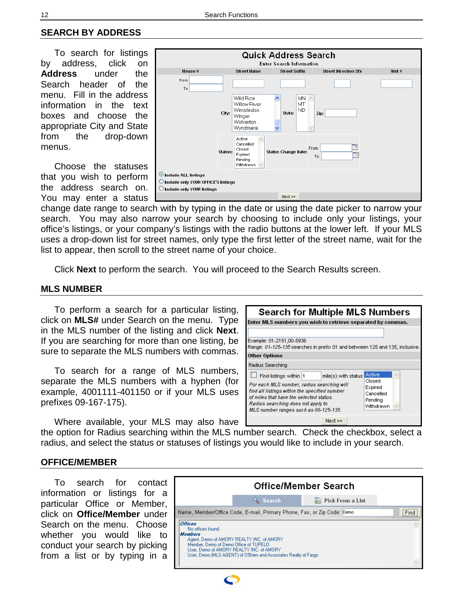# <span id="page-11-0"></span>**SEARCH BY ADDRESS**

To search for listings by address, click on **Address** under the Search header of the menu. Fill in the address information in the text boxes and choose the appropriate City and State from the drop-down menus.

Choose the statuses that you wish to perform the address search on. You may enter a status



change date range to search with by typing in the date or using the date picker to narrow your search. You may also narrow your search by choosing to include only your listings, your office's listings, or your company's listings with the radio buttons at the lower left. If your MLS uses a drop-down list for street names, only type the first letter of the street name, wait for the list to appear, then scroll to the street name of your choice.

Click **Next** to perform the search. You will proceed to the Search Results screen.

# **MLS NUMBER**

To perform a search for a particular listing, click on **MLS#** under Search on the menu. Type in the MLS number of the listing and click **Next**. If you are searching for more than one listing, be sure to separate the MLS numbers with commas.

To search for a range of MLS numbers, separate the MLS numbers with a hyphen (for example, 4001111-401150 or if your MLS uses prefixes 09-167-175).

Where available, your MLS may also have

the option for Radius searching within the MLS number search. Check the checkbox, select a radius, and select the status or statuses of listings you would like to include in your search.

#### **OFFICE/MEMBER**

To search for contact information or listings for a particular Office or Member, click on **Office/Member** under Search on the menu. Choose whether you would like to conduct your search by picking from a list or by typing in a



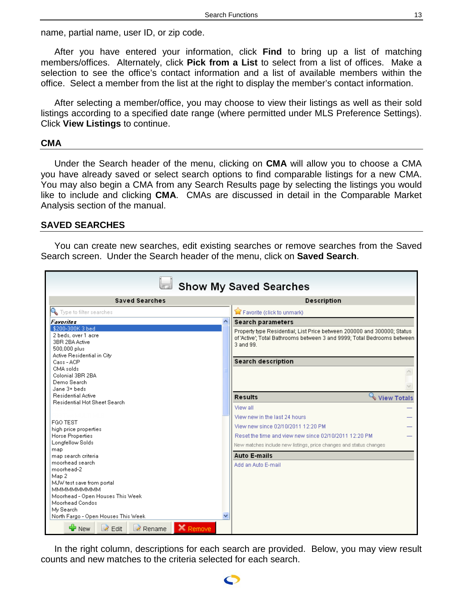<span id="page-12-0"></span>name, partial name, user ID, or zip code.

After you have entered your information, click **Find** to bring up a list of matching members/offices. Alternately, click **Pick from a List** to select from a list of offices. Make a selection to see the office's contact information and a list of available members within the office. Select a member from the list at the right to display the member's contact information.

After selecting a member/office, you may choose to view their listings as well as their sold listings according to a specified date range (where permitted under MLS Preference Settings). Click **View Listings** to continue.

#### **CMA**

Under the Search header of the menu, clicking on **CMA** will allow you to choose a CMA you have already saved or select search options to find comparable listings for a new CMA. You may also begin a CMA from any Search Results page by selecting the listings you would like to include and clicking **CMA**. CMAs are discussed in detail in the Comparable Market Analysis section of the manual.

#### **SAVED SEARCHES**

You can create new searches, edit existing searches or remove searches from the Saved Search screen. Under the Search header of the menu, click on **Saved Search**.

| <b>Show My Saved Searches</b>                                                                         |                                                                                                                                                                 |  |  |  |
|-------------------------------------------------------------------------------------------------------|-----------------------------------------------------------------------------------------------------------------------------------------------------------------|--|--|--|
| <b>Saved Searches</b>                                                                                 | <b>Description</b>                                                                                                                                              |  |  |  |
| Type to filter searches                                                                               | Favorite (click to unmark)                                                                                                                                      |  |  |  |
| $\curvearrowright$<br><b>Favorites</b>                                                                | <b>Search parameters</b>                                                                                                                                        |  |  |  |
| \$200-300K3bed<br>2 beds, over 1 acre<br>3BR 2BA Active<br>500,000 plus<br>Active Residential in City | Property type Residential; List Price between 200000 and 300000; Status<br>of 'Active'; Total Bathrooms between 3 and 9999; Total Bedrooms between<br>3 and 99. |  |  |  |
| Cass-ACP                                                                                              | <b>Search description</b>                                                                                                                                       |  |  |  |
| CMA solds<br>Colonial 3BR 2BA                                                                         |                                                                                                                                                                 |  |  |  |
| Demo Search<br>Jane 3+ beds                                                                           |                                                                                                                                                                 |  |  |  |
| <b>Residential Active</b>                                                                             | View Totals<br><b>Results</b>                                                                                                                                   |  |  |  |
| Residential Hot Sheet Search                                                                          |                                                                                                                                                                 |  |  |  |
|                                                                                                       | View all                                                                                                                                                        |  |  |  |
| FGO TEST                                                                                              | View new in the last 24 hours                                                                                                                                   |  |  |  |
| high price properties                                                                                 | View new since 02/10/2011 12:20 PM                                                                                                                              |  |  |  |
| Horse Properties                                                                                      | Reset the time and view new since 02/10/2011 12:20 PM                                                                                                           |  |  |  |
| Longfellow Solds                                                                                      | New matches include new listings, price changes and status changes                                                                                              |  |  |  |
| map.<br>map search criteria                                                                           | <b>Auto E-mails</b>                                                                                                                                             |  |  |  |
| moorhead search.                                                                                      | Add an Auto E-mail                                                                                                                                              |  |  |  |
| moorhead-2                                                                                            |                                                                                                                                                                 |  |  |  |
| Map 2                                                                                                 |                                                                                                                                                                 |  |  |  |
| MJW test save from portal<br><b>ММММММММММ</b>                                                        |                                                                                                                                                                 |  |  |  |
| Moorhead - Open Houses This Week                                                                      |                                                                                                                                                                 |  |  |  |
| Moorhead Condos                                                                                       |                                                                                                                                                                 |  |  |  |
| My Search                                                                                             |                                                                                                                                                                 |  |  |  |
| North Fargo - Open Houses This Week                                                                   |                                                                                                                                                                 |  |  |  |
| $\bigoplus$ New<br>X Remove<br>$\geq$ Edit<br>Rename                                                  |                                                                                                                                                                 |  |  |  |

In the right column, descriptions for each search are provided. Below, you may view result counts and new matches to the criteria selected for each search.